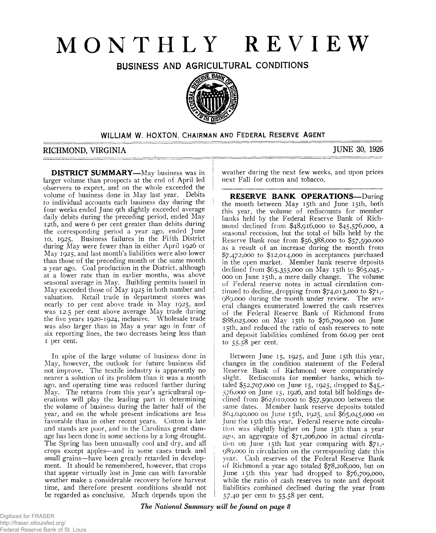# **MONTHLY REVIEW**

BUSINESS AND AGRICULTURAL CONDITIONS



### **WILLIAM W. HOXTON. CHAIRMAN AND FEDERAL RESERVE AGENT**

# **RICHMOND, VIRGINIA JUNE 30, 1926**

**DISTRICT SUMMARY—**May business was in larger volume than prospects at the end of April led observers to expect, and on the whole exceeded the volume of business done in May last year. Debits to individual accounts each business day during the four weeks ended June 9th slightly exceeded average daily debits during the preceding period, ended May 1 2th, and were 6 per cent greater than debits during the corresponding period a year ago, ended June 10, 1925. Business failures in the Fifth District during May were fewer than in either April 1926 or May 1925, and last month's liabilities were also lower than those of the preceding month or the same month a year ago. Coal production in the District, although at a lower rate than in earlier months, was above seasonal average in May. Building permits issued in May exceeded those of May 1925 in both number and valuation. Retail trade in department stores was nearly 10 per cent above trade in May 1925, and was 12.5 per cent above average May trade during the five years 1920-1924, inclusive. Wholesale trade was also larger than in May a year ago in four of six reporting lines, the two decreases being less than 1 per cent.

In spite of the large volume of business done in May, however, the outlook for future business did not improve. The textile industry is apparently no nearer a solution of its problem than it was a month ago, and operating time was reduced further during May. The returns from this year's agricultural operations will play the leading part in determining the volume of business during the latter half of the year, and on the whole present indications are less favorable than in other recent years. Cotton is late and stands are poor, and in the Carolinas great damage has been done in some sections by a long drought. The Spring has been unusually cool and dry, and all crops except apples—and in some cases truck and small grains—have been greatly retarded in development. It should be remembered, however, that crops that appear virtually lost in June can with favorable weather make a considerable recovery before harvest time, and therefore present conditions should not be regarded as conclusive. Much depends upon the weather during the next few weeks, and upon prices next Fall for cotton and tobacco.

**RESERVE BANK OPERATIONS-During** the month between May 15th and June 15th, both this year, the volume of rediscounts for member banks held by the Federal Reserve Bank of Richmond declined from \$48,916,000 to \$45,576,000, a seasonal recession, but the total of bills held by the Reserve Bank rose from \$56,388,000 to \$57,590,000 as a result of an increase during the month from \$7,472,000 to \$12,014,000 in acceptances purchased in the open market. Member bank reserve deposits declined from \$65,355,000 on May 15th to \$65,045,- 000 on June 15th, a mere daily change. The volume of Federal reserve notes in actual circulation continued to decline, dropping from \$74,013,000 to \$71,- 989,000 during the month under review. The several changes enumerated lowered the cash reserves of the Federal Reserve Bank of Richmond from \$88,025,000 on May 15th to \$76,709,000 on June 15th, and reduced the ratio of cash reserves to note and deposit liabilities combined from 60.09 per cent t0 55-S8 per cent.

Between June 15, 1925, and June 15th this year, changes in the condition statement of the Federal Reserve Bank of Richmond were comparatively slight. Rediscounts for member banks, which totaled \$52,707,000 on June 15, 1925, dropped to \$45,- 576.000 on June 15, 1926, and total bill holdings declined from \$62,610,000 to \$57,590,000 between the same dates. Member bank reserve deposits totaled \$64,040,000 011 June 15th, 1925, and \$65,045,000 011 June the 15th this year. Federal reserve note circulation was slightly higher on June 15th than a year ago, an aggregate of \$71,206,000 in actual circulation on June 15th last year comparing with \$71,- 989.000 in circulation on the corresponding date this year. Cash reserves of the Federal Reserve Bank of Richmond a year ago totaled \$78,208,000, but on June 15th this year had dropped to \$76,709,000, while the ratio of cash reserves to note and deposit liabilities combined declined during the year from 57.40 per cent to 55.58 per cent.

*The National Summary will be found on page 8*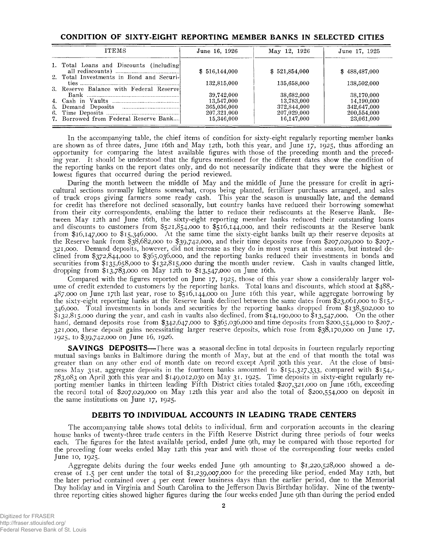| <b>ITEMS</b>                             | June 16, 1926             | May 12, 1926              | June 17, 1925             |
|------------------------------------------|---------------------------|---------------------------|---------------------------|
| 1. Total Loans and Discounts (including) | \$516,144,000             | \$521,854,000             | \$488,487,000             |
| 2. Total Investments in Bond and Securi- | 132,815,000               | 135,658,000               | 138,502,000               |
| 3. Reserve Balance with Federal Reservel | 39,742,000                | 38,682,000                | 38,170,000                |
|                                          | 13,547,000<br>365,036,000 | 13,783,000<br>372,844,000 | 14,190,000<br>342,647,000 |
| 7. Borrowed from Federal Reserve Bank    | 207.321.000<br>15,346,000 | 207,029,000<br>16.147.000 | 200,554,000<br>23,061,000 |

In the accompanying table, the chief items of condition for sixty-eight regularly reporting member banks are shown as of three dates, June 16th and May 12th, both this year, and June 17, 1925, thus affording an opportunity for comparing the latest available figures with those of the preceding month and the preceding year. It should be understood that the figures mentioned for the different dates show the condition of the reporting banks on the report dates only, and do not necessarily indicate that they were the highest or lowest figures that occurred during the period reviewed.

During the month between the middle of May and the middle of June the pressure for credit in agricultural sections normally lightens somewhat, crops being planted, fertilizer purchases arranged, and sales of truck crops giving farmers some ready cash. This year the season is unusually late, and the demand for credit has therefore not declined seasonally, but country banks have reduced their borrowing somewhat from their city correspondents, enabling the latter to reduce their rediscounts at the Reserve Bank. Between May 12th and June 16th, the sixty-eight reporting member banks reduced their outstanding loans and discounts to customers from  $$521,854,000$  to  $$516,144,000$ , and their rediscounts at the Reserve bank from \$16,147,000 to \$15,346,000. At the same time the sixty-eight banks built up their reserve deposits at the Reserve bank from \$38,682,000 to \$39,742,000, and their time deposits rose from \$207,029,000 to \$207,- 321.000. Demand deposits, however, did not increase as they do in most years at this season, but instead declined from \$372,844,000 to \$365,036,000, and the reporting banks reduced their investments in bonds and securities from \$135,658,000 to \$132,815,000 during the month under review. Cash in vaults changed little, dropping from \$13,783,000 on May 12th to \$13,547,000 on June 16th.

Compared with the figures reported on June 17, 1925, those of this year show a considerably larger volume of credit extended to customers by the reporting banks. Total loans and discounts, which stood at \$488,- 487,000 on June 17th last year, rose to \$516,144,000 011 June 16th this year, while aggregate borrowing by the sixty-eight reporting banks at the Reserve bank declined between the same dates from \$23,061,000 to \$15,- 346.000. Total investments in bonds and securities by the reporting banks dropped from \$138,502,000 to \$132,815,000 during the year, and cash in vaults also declined, from \$14,190,000 to \$13,547,000. On the other hand, demand deposits rose from \$342,647,000 to \$365,036,000 and time deposits from \$200,554,000 to \$207,- 321.000. these deposit gains necessitating larger reserve deposits, which rose from \$38,170,000 on June 17, 1925, to \$39,742,000 on June 16, 1926.

**SAVINGS DEPOSITS—** There was a seasonal decline in total deposits in fourteen regularly reporting mutual savings banks in Baltimore during the month of May, but at the end of that month the total was greater than on any other end of month date on record except April 30th this year. At the close of business May 31st, aggregate deposits in the fourteen banks amounted to \$154,327,333, compared with \$154,- 783,083 on April 30th this year and \$149,012,030 on May 31, 1925. Time deposits in sixty-eight regularly reporting member banks in thirteen leading Fifth District cities totaled \$207,321,000 on June 16th, exceeding the record total of \$207,029,000 on May 12th this year and also the total of \$200,554,000 on deposit in the same institutions on June 17, 1925.

#### **DEBITS TO INDIVIDUAL ACCOUNTS IN LEADING TRADE CENTERS**

The accompanying table shows total debits to individual, firm and corporation accounts in the clearing house banks of twenty-three trade centers in the Fifth Reserve District during three periods of four weeks each. The figures for the latest available period, ended June 9th, may be compared with those reported for the preceding four weeks ended May 12th this year and with those of the corresponding four weeks ended June 10, 1925.

Aggregate debits during the four weeks ended June 9th amounting to \$1,220,528,000 showed a decrease of 1.5 per cent under the total of \$1,239,007,000 for the preceding like period, ended May 12th, but the later period contained over 4 per cent fewer business days than the earlier period, due to the Memorial Day holiday and in Virginia and South Carolina to the Jefferson Davis Birthday holiday. Nine of the twentythree reporting cities showed higher figures during the four weeks ended June 9th than during the period ended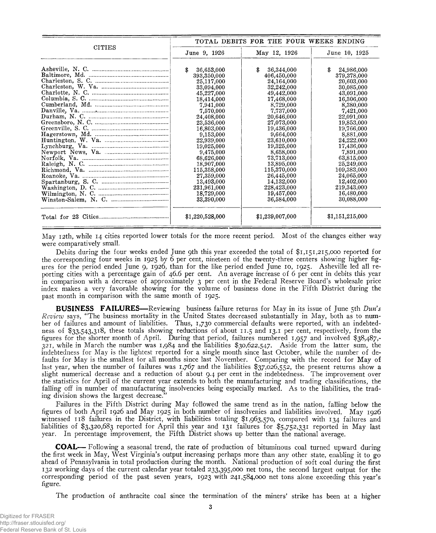|               |                                       |                                       | TOTAL DEBITS FOR THE FOUR WEEKS ENDING |  |  |
|---------------|---------------------------------------|---------------------------------------|----------------------------------------|--|--|
| <b>CITIES</b> | June 9, 1926                          | May 12, 1926                          | June 10, 1925                          |  |  |
|               | \$<br>36,653,000<br>393,350,000       | \$<br>36,344,000<br>406,450,000       | \$<br>24,986,000<br>379,378,000        |  |  |
|               | 25,117,000                            | 24,164,000                            | 20,603,000                             |  |  |
|               | 33,094,000                            | 32,242,000                            | 30,085,000                             |  |  |
|               | 45,227,000                            | 49,442,000                            | 43,091,000                             |  |  |
|               | 18,414,000                            | 17,468,000                            | 16,306,000                             |  |  |
|               | 7,941,000                             | 8,729,000                             | 8,380,000                              |  |  |
|               | 7,570,000                             | 7,737,000                             | 7,421,000                              |  |  |
|               | 24,408,000                            | 20.646.000                            | 22,091,000                             |  |  |
|               | 23,536,000                            | 27,073,000                            | 19,853,000                             |  |  |
|               | 16,803,000                            | 19,436,000                            | 19,766,000                             |  |  |
|               | 9,153,000<br>22,939,000<br>19,025,000 | 9,664,000<br>23,610,000<br>19,325,000 | 8,881,000<br>24,222,000<br>17,436,000  |  |  |
|               | 9,475,000                             | 8.658.000                             | 7,891,000                              |  |  |
|               | 68,626,000                            | 73,713,000                            | 63,815,000                             |  |  |
|               | 18,907,000                            | 13,895,000                            | 25,249,000                             |  |  |
|               | 115,358,000                           | 115,370,000                           | 109,383,000                            |  |  |
|               | 27,359,000                            | 26,445,000                            | 24,065,000                             |  |  |
|               | 13,493,000                            | 14.132,000                            | 12,402,000                             |  |  |
|               | 231,961,000                           | 228,423,000                           | 219,343,000                            |  |  |
|               | 18,729,000                            | 19,457,000                            | 16.480.000                             |  |  |
|               | 33,390,000                            | 36,584,000                            | 30,088,000                             |  |  |
|               | \$1,220,528,000                       | \$1,239,007,000                       | \$1,151,215,000                        |  |  |

May 12th, while 14 cities reported lower totals for the more recent period. Most of the changes either way were comparatively small.

Debits during the four weeks ended June 9th this year exceeded the total of \$1,151,215,000 reported for the corresponding four weeks in 1925 by 6 per cent, nineteen of the twenty-three centers showing higher figures for the period ended June 9, 1926, than for the like period ended June 10, 1925. Asheville led all reporting cities with a percentage gain of 46.6 per cent. An average increase of 6 per cent in debits this year in comparison with a decrease of approximately 3 per cent ip the Federal Reserve Board's wholesale price index makes a very favorable showing for the volume of business done in the Fifth District during the past month in comparison with the same month of 1925.

**BUSINESS FAILURES**— Reviewing business failure returns for May in its issue of June 5th *Dun's Review* says, " The business mortality in the United States decreased substantially in May, both as to number of failures and amount of liabilities. Thus, 1,730 commercial defaults were reported, with an indebtedness of \$33,543,318, these totals showing reductions of about 11.5 and 13.1 per cent, respectively, from the figures for the shorter month of April. During that period, failures numbered 1,957 and involved \$38,487,- 321, while in March the number was 1,984 and the liabilities \$30,622,547. Aside from the latter sum, the indebtedness for May is the lightest reported for a single month since last October, while the number of defaults for May is the smallest for all months since last November. Comparing with the record for May of last year, when the number of failures was 1,767 and the liabilities \$37,026,552, the present returns show a slight numerical decrease and a reduction of about 9.4 per cent in the indebtedness. The improvement over the statistics for April of the current year extends to both the manufacturing and trading classifications, the falling off in number of manufacturing insolvencies being especially marked. As to the liabilities, the trading division shows the largest decrease."

Failures in the Fifth District during May followed the same trend as in the nation, falling below the figures of both April 1926 and May 1925 in both number of insolvenies and liabilities involved. May 1926 witnessed 118 failures in the District, with liabilities totaling \$1,963,570, compared with 134 failures and liabilities of \$3,320,683 reported for April this year and 131 failures for \$5,752,331 reported in May last year. In percentage improvement, the Fifth District shows up better than the national average.

**COAL**— Following a seasonal trend, the rate of production of bituminous coal turned upward during the first week in May, West Virginia's output increasing perhaps more than any other state, enabling it to go ahead of Pennsylvania in total production during the month. National production of soft coal during the first 132 working days of the current calendar year totaled 233,395,000 net tons, the second largest output for the corresponding period of the past seven years, 1923 with 241,584,000 net tons alone exceeding this year's figure.

The production of anthracite coal since the termination of the miners' strike has been at a higher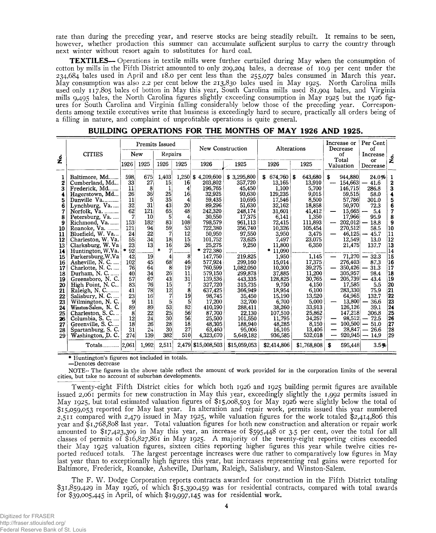rate than during the preceding year, and reserve stocks are being steadily rebuilt. It remains to be seen, however, whether production this summer can accumulate sufficient surplus to carry the country through next winter without resort again to substitutes for hard coal.

**TEXTILES**— Operations in textile mills were further curtailed during May when the consumption of cotton by mills in the Fifth District amounted to only 209,204 bales, a decrease of 10.9 per cent under the 234,684 bales used in April and 18.0 per cent less than the 255,077 bales consumed in March this year. May consumption was also 2.2 per cent below the 213,830 bales used in May 1925. North Carolina mills used only 117,805 bales of botton in May this year, South Carolina mills used 81,904 bales, and Virginia mills 9,495 bales, the North Carolina figures slightly exceeding consumption in May 1925 but the 1926 figures for South Carolina and Virginia falling considerably below those of the preceding year. Correspondents among textile executives write that business is exceedingly hard to secure, practically all orders being of a filling in nature, and complaint of unprofitable operations is quite general.

|                                                                                                                                                                   | <b>CITIES</b><br>New                                                                                                                                                                                                                                                                                                                                                                                                                                                                                                                                                              |                                                                                                                                                                               |                                                                                                                                                                        | Premits Issued<br>Repairs                                                                                                                                                            |                                                                                                                                                                                                    | New Construction<br>Alterations                                                                                                                                                                                                                                                                                        |                                                                                                                                                                                                                                                                                                             | Increase or<br>Decrease<br>οf                                                                                                                                                                                                                                                                             |                                                                                                                                                                                                                                                                               | Per Cent<br>οf<br>Increase          |                                                                                                                                                                                                                                                                                   |                                                                                                                                                                                                                                                                                        |                                                                                                                                                                                           |
|-------------------------------------------------------------------------------------------------------------------------------------------------------------------|-----------------------------------------------------------------------------------------------------------------------------------------------------------------------------------------------------------------------------------------------------------------------------------------------------------------------------------------------------------------------------------------------------------------------------------------------------------------------------------------------------------------------------------------------------------------------------------|-------------------------------------------------------------------------------------------------------------------------------------------------------------------------------|------------------------------------------------------------------------------------------------------------------------------------------------------------------------|--------------------------------------------------------------------------------------------------------------------------------------------------------------------------------------|----------------------------------------------------------------------------------------------------------------------------------------------------------------------------------------------------|------------------------------------------------------------------------------------------------------------------------------------------------------------------------------------------------------------------------------------------------------------------------------------------------------------------------|-------------------------------------------------------------------------------------------------------------------------------------------------------------------------------------------------------------------------------------------------------------------------------------------------------------|-----------------------------------------------------------------------------------------------------------------------------------------------------------------------------------------------------------------------------------------------------------------------------------------------------------|-------------------------------------------------------------------------------------------------------------------------------------------------------------------------------------------------------------------------------------------------------------------------------|-------------------------------------|-----------------------------------------------------------------------------------------------------------------------------------------------------------------------------------------------------------------------------------------------------------------------------------|----------------------------------------------------------------------------------------------------------------------------------------------------------------------------------------------------------------------------------------------------------------------------------------|-------------------------------------------------------------------------------------------------------------------------------------------------------------------------------------------|
| $\dot{\mathbf{z}}$                                                                                                                                                |                                                                                                                                                                                                                                                                                                                                                                                                                                                                                                                                                                                   | 1926                                                                                                                                                                          | 1925                                                                                                                                                                   | 1926                                                                                                                                                                                 | 1925                                                                                                                                                                                               | 1926                                                                                                                                                                                                                                                                                                                   | 1925                                                                                                                                                                                                                                                                                                        | 1926                                                                                                                                                                                                                                                                                                      | 1925                                                                                                                                                                                                                                                                          |                                     | Total<br>Valuation                                                                                                                                                                                                                                                                | or<br>Decrease                                                                                                                                                                                                                                                                         | فہ<br>2                                                                                                                                                                                   |
| 1<br>2<br>3<br>4<br>5<br>6<br>7<br>8<br>9<br>10<br>11<br>12<br>13<br>14<br>15<br>16<br>17<br>18<br>19<br>20<br>21<br>22<br>23<br>24<br>25<br>26<br>27<br>28<br>29 | Baltimore, Md<br>Cumberland, Md<br>Frederick, Md<br>Hagerstown, Md<br>Danville Va<br>Lynchburg, Va<br>Norfolk, Va.<br>Petersburg, Va.<br>Richmond, Va.<br>Roanoke, Va.<br>Bluefield, W. Va<br>Charleston, W. Va.<br>Clarksburg, W. Va<br>Huntington, W.Va.<br>Parkersburg, W.Va<br>Asheville, N. C.<br>Charlotte, N. C.<br>Durham, N. C.<br>Greensboro, N.C.<br>High Point, N.C<br>Raleigh, N. C<br>Salisbury, N. C.<br>Wilmington, N. C.<br>Winston-Salem, N. C.<br>Charleston, S. C<br>Columbia, S. C.<br>$\sim$<br>Greenville, S. C<br>Spartanburg, S. C.<br>Washington, D. C. | 598.<br>33<br>11<br>26<br>11<br>32<br>62<br>7<br>153<br>121<br>24<br>55<br>23<br>92<br>42<br>102<br>76<br>40<br>57<br>83<br>41<br>23<br>9<br>89<br>8<br>12<br>18<br>31<br>274 | 675<br>27<br>8<br>36<br>5<br>31<br>121<br>10<br>182<br>94<br>22<br>34<br>13<br>19<br>45<br>64<br>34<br>67<br>76<br>78<br>16<br>11<br>89<br>22<br>24<br>26<br>24<br>139 | 1,403<br>15<br>25<br>35<br>43 <sup>1</sup><br>65<br>5<br>83<br>59<br>7<br>18<br>16<br>$\star$<br>4<br>68<br>8<br>26<br>43<br>15<br>12<br>7<br>5<br>53<br>25<br>30<br>28<br>30<br>382 | $1,250$ \$<br>16<br>4<br>16<br>4<br>20<br>48<br>4<br>108<br>53<br>12<br>15 <sup>1</sup><br>26 <sup>°</sup><br>8<br>46<br>19<br>11<br>31<br>7<br>8<br>19<br>51<br>82<br>56<br>56<br>18<br>27<br>510 | 4,209,600<br>203,802<br>196.765<br>32,925<br>59,435<br>89,296<br>242,320<br>30,550<br>798,579<br>722,380<br>50,950<br>101,752<br>25,275<br>$*272,380$<br>147.750<br>577,924<br>760.599<br>579.150<br>139,536<br>327,720<br>637,425<br>98,745<br>17,200<br>410.190<br>87.700<br>25,500<br>48.305<br>63,460<br>4,323,670 | \$3,295,800<br>357,720<br>45,450<br>93,630<br>10.695<br>51,630<br>248.174<br>17,375<br>961,113<br>356,740<br>97,550<br>73,625<br>9,250<br>219.825<br>299,160<br>1,082,050<br>299,878<br>443.335<br>315.735<br>366,949<br>35,450<br>32,700<br>288.411<br>22.130<br>101,550<br>188,940<br>95,006<br>5,649,182 | $674,760$ \$<br>S<br>13,165<br>1.100<br>129,235<br>17,546<br>32,162<br>31,601<br>6,141<br>72,415<br>10,326<br>3,950<br>7,497<br>11,800<br>$*11,090$<br>1.950<br>15,014<br>10,300<br>37,885<br>128,825<br>9.750<br>18,954<br>15,190<br>6,700<br>38,260<br>107,510<br>11,795<br>48,285<br>16,105<br>936,585 | 643,680<br>13.910<br>5.700<br>9,015<br>8,500<br>18,858<br>41,412<br>1,350<br>111,893<br>105,454<br>3,475<br>23,075<br>6,350<br>1.145<br>17,375<br>39,275<br>11.200<br>30,765<br>4.150<br>6,100<br>13,520<br>5.000<br>33.913<br>25,862<br>34,257<br>8.150<br>13,406<br>532,018 | s<br>$\overline{\phantom{0}}$<br>-- | 944.880<br>154,663<br>146.715<br>59,515<br>57,786<br>50,970<br>15,665<br>17,966<br>202,012<br>270,512<br>$46,125$ –<br>12,549<br>21,475<br>276,403<br>350,426<br>305,957<br>205,739<br>17,585<br>283,330<br>64,965<br>13,800<br>126,126<br>147,218<br>98,512<br>100,500<br>28,847 | 24.0%<br>41.6<br>286.8<br>58.0<br>301.0<br>72.3<br>5.4<br>95.9<br>18.8<br>58.5<br>45.7<br>13.0<br>137.7<br>$71.270 - 32.3$<br>87.3<br>31.3<br>98.4<br>43.4<br>5.5<br>75.9<br>132.7<br>36.6<br>39.1<br>306.8<br>72.5<br>$-51.0$<br>26.6<br>$\overline{\phantom{m}}$<br>$920,945 - 14.9$ | 1<br>$\mathbf 2$<br>3<br>4<br>5<br>6<br>$\overline{7}$<br>8<br>9<br>10<br> 11<br>12<br>13<br>14<br>15<br>16<br>17<br>18<br>19<br>20<br>21<br>22<br>23<br>24<br>25<br>26<br>27<br>28<br>29 |
|                                                                                                                                                                   | Totals                                                                                                                                                                                                                                                                                                                                                                                                                                                                                                                                                                            | 2,061                                                                                                                                                                         | 1,992                                                                                                                                                                  | 2,511                                                                                                                                                                                |                                                                                                                                                                                                    | 2,479 \$15,008,503                                                                                                                                                                                                                                                                                                     | \$15,059,053                                                                                                                                                                                                                                                                                                | \$2,414,806                                                                                                                                                                                                                                                                                               | \$1,768,808                                                                                                                                                                                                                                                                   | S                                   | 595,448                                                                                                                                                                                                                                                                           | 3.5%                                                                                                                                                                                                                                                                                   |                                                                                                                                                                                           |

| BUILDING OPERATIONS FOR THE MONTHS OF MAY 1926 AND 1925. |  |  |  |  |  |  |  |  |
|----------------------------------------------------------|--|--|--|--|--|--|--|--|
|----------------------------------------------------------|--|--|--|--|--|--|--|--|

**\* Huntington's figures not included in totals. —Denotes decrease**

**NOTE-- The figures in the above table reflect the amount of work provided for in the corporation limits of the several cities, but take no account of suburban developments.**

Twenty-eight Fifth District cities for which both 1926 and 1925 building permit figures are available issued 2,061 permits for new construction in May this year, exceedingly slightly the 1,992 permits issued in May 1925, but total estimated valuation figures of  $$15,008,503$  for May 1926 were slightly below the total of \$15,059,053 reported for May last year. In alteration and repair work, permits issued this year numbered 2,511 compared with 2,479 issued in May 1925, while valuation figures for the work totaled \$2,414,806 this year and \$1,768,808 last year. Total valuation figures for both new construction and alteration or repair work amounted to \$17,423,309 in May this year, an increase of \$595,448 or 3.5 per cent, over the total for all classes of permits of \$16,827,861 in May 1925. A majority of the twenty-eight reporting cities exceeded their May 1925 valuation figures, sixteen cities reporting higher figures this year while twelve cities reported reduced *totals.* The largest percentage increases were due rather to comparatively low figures in May last year than to exceptionally high figures this year, but increases representing real gains were reported for Baltimore, Frederick, Roanoke, Asheville, Durham, Raleigh, Salisbury, and Winston-Salem.

The F. W. Dodge Corporation reports contracts awarded for construction in the Fifth District totaling \$ 31 >859,429 in May 1926, of which \$15,390,459 was for residential contracts, compared with total awards for \$39,005,445 in April, of which \$19,997,145 was for residential work.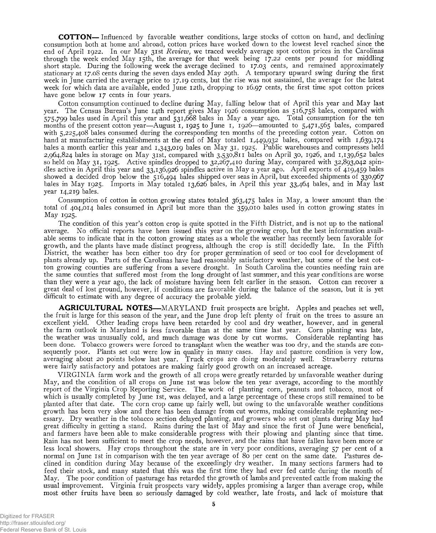**COTTON**— Influenced by favorable weather conditions, large stocks of cotton on hand, and declining consumption both at home and abroad, cotton prices have worked down to the lowest level reached since the end of April 1922. In our May 31st *Review,* we traced weekly average spot cotton prices in the Carolinas through the week ended May 15th, the average for that week being 17.22 cents per pound for middling short staple. During the following week the average declined to 17.03 cents, and remained approximately stationary at 17.08 cents during the seven days ended May 29th. A temporary upward swing during the first week in June carried the average price to 17.19 cents, but the rise was not sustained, the average for the latest week for which data are available, ended June 12th, dropping to 16.97 cents, the first time spot cotton prices have gone below 17 cents in four years.

Cotton consumption continued to decline during May, falling below that of April this year and May last year. The Census Bureau's June 14th report gives May 1926 consumption as 516,758 bales, compared with 575,799 bales used in April this year and 531,668 bales in May a year ago. Total consumption for the ten months of the present cotton year—August 1, 1925 to June 1, 1926—amounted to 5,471,565 bales, compared with 5,225,408 bales consumed during the corresponding ten months of the preceding cotton year. Cotton on hand at manufacturing establishments at the end of May totaled 1,449,932 bales, compared with 1,639,174 bales a month earlier this year and 1,343,019 bales on May 31, 1925. Public warehouses and compresses held 2,964,824 bales in storage on May 31st, compared with 3,530,811 bales on April 30, 1926, and 1,139,652 bales so held on May 31, 1925. Active spindles dropped to 32,267,410 during May, compared with 32,893,042 spindles active in April this year and 33,136,926 spindles active in May a year ago. April exports of 419,459 bales showed a decided drop below the 516,494 bales shipped over seas in April, but exceeded shipments of 330,967 bales in May 1925. Imports in May totaled 13,626 bales, in April this year 33,464 bales, and in May last year 14,219 bales.

Consumption of cotton in cotton growing states totaled 363,475 bales in May, a lower amount than the total of 404,014 bales consumed in April but more than the 359,010 bales used in cotton growing states in May 1925.

The condition of this year's cotton crop is quite spotted in the Fifth District, and is not up to the national average. No official reports have been issued this year on the growing crop, but the best information available seems to indicate that in the cotton growing states as a whole the weather has recently been favorable for growth, and the plants have made distinct progress, although the crop is still decidedly late. In the Fifth District, the weather has been either too dry for proper germination of seed or too cool for development of plants already up. Parts of the Carolinas have had reasonably satisfactory weather, but some of the best cotton growing counties are suffering from a severe drought. In South Carolina the counties needing rain are the same counties that suffered most from the long drought of last summer, and this year conditions are worse than they were a year ago, the lack of moisture having been felt earlier in the season. Cotton can recover a great deal of lost ground, however, if conditions are favorable during the balance of the season, but it is yet difficult to estimate with any degree of accuracy the probable yield.

**AGRICULTURAL NOTES**—MARYLAND fruit prospects are bright. Apples and peaches set well, the fruit is large for this season of the year, and the June drop left plenty of fruit on the trees to assure an excellent yield. Other leading crops have been retarded by cool and dry weather, however, and in general the farm outlook in Maryland is less favorable than at the same time last year. Corn planting was late, the weather was unusually cold, and much damage was done by cut worms. Considerable replanting has been done. Tobacco growers were forced to transplant when the weather was too dry, and the stands are consequently poor. Plants set out were low in quality in many cases. Hay and pasture condition is very low, averaging about 20 points below last year. Truck crops are doing moderately well. Strawberry returns were fairly satisfactory and potatoes are making fairly good growth on an increased acreage.

VIRGINIA farm work and the growth of all crops were greatly retarded by unfavorable weather during May, and the condition of all crops on June 1st was below the ten year average, according to the monthly report of the Virginia Crop Reporting Service. The work of planting corn, peanuts and tobacco, most of which is usually completed by June 1st, was delayed, and a large percentage of these crops still remained to be planted after that date. The corn crop came up fairly well, but owing to the unfavorable weather conditions growth has been very slow and there has been damage from cut worms, making considerable replanting necessary. Dry weather in the tobacco section delayed planting, and growers who set out plants during May had great difficulty in getting a stand. Rains during the last of May and since the first of June were beneficial, and farmers have been able to make considerable progress with their plowing and planting since that time. Rain has not been sufficient to meet the crop needs, however, and the rains that have fallen have been more or less local showers. Hay crops throughout the state are in very poor conditions, averaging 57 per cent of a normal on June 1st in comparison with the ten year average of 80 per cent on the same date. Pastures declined in condition during May because of the exceedingly dry weather. In many sections farmers had to feed their stock, and many stated that this was the first time they had ever fed cattle during the month of May. The poor condition of pasturage has retarded the growth of lambs and prevented cattle from making the usual improvement. Virginia fruit prospects vary widely, apples promising a larger than average crop, while most other fruits have been so seriously damaged by cold weather, late frosts, and lack of moisture that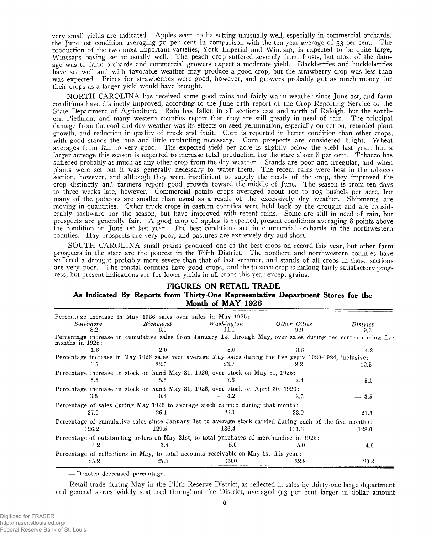very small yields are indicated. Apples seem to be setting unusually well, especially in commercial orchards, the June ist condition averaging 70 per cent in comparison with the ten year average of 53 per cent. The production of the two most important varieties, York Imperial and Winesap, is expected to be quite large, Winesaps having set unusually well. The peach crop suffered severely from frosts, but most of the damage was to farm orchards and commercial growers expect a moderate yield. Blackberries and huckleberries have set well and with favorable weather may produce a good crop, but the strawberry crop was less than was expected. Prices for strawberries were good, however, and growers probably got as much money for their crops as a larger yield would have brought.

NORTH CAROLINA has received some good rains and fairly warm weather since June 1st, and farm conditions have distinctly improved, according to the June n th report of the Crop Reporting Service of the State Department of Agriculture. Rain has fallen in all sections east and north of Raleigh, but the southern Piedmont and many western counties report that they are still greatly in need of rain. The principal damage from the cool and dry weather was its effects on seed germination, especially on cotton, retarded plant growth, and reduction in quality of truck and fruit. Corn is reported in better condition than other crops, with good stands the rule and little replanting necessary. Corn prospects are considered bright. Wheat averages from fair to very good. The expected yield per acre is slightly below the yield last year, but a larger acreage this season is expected to increase total production for the state about 8 per cent. Tobacco has suffered probably as much as any other crop from the dry weather. Stands are poor and irregular, and when plants were set out it was generally necessary to water them. The recent rains were best in the tobacco section, however, and although they were insufficient to supply the needs of the crop, they improved the crop distinctly and farmers report good growth toward the middle of June. The season is from ten days to three weeks late, however. Commercial potato crops averaged about 100 to 105 bushels per acre, but many of the potatoes are smaller than usual as a result of the excessively dry weather. Shipments are moving in quantities. Other truck crops in eastern counties were held back by the drought and are considerably backward for the season, but have improved with recent rains. Some are still in need of rain, but prospects are generally fair. A good crop of apples is expected, present conditions averaging 8 points above the condition on June ist last year. The best conditions are in commercial orchards in the northwestern counties. Hay prospects are very poor, and pastures are extremely dry and short.

SOUTH CAROLINA small grains produced one of the best crops on record this year, but other farm prospects in the state are the poorest in the Fifth District. The northern and northwestern counties have suffered a drought probably more severe than that of last summer, and stands of all crops in those sections are very poor. The coastal counties have good crops, and the tobacco crop is making fairly satisfactory progress, but present indications are for lower yields in all crops this year except grains.

#### **FIGURES ON RETAIL TRADE As Indicated By Reports from Thirty-One Representative Department Stores for the Month of MAY 1926**

| Percentage increase in May 1926 sales over sales in May 1925:                                                                        |                 |                    |                     |                 |
|--------------------------------------------------------------------------------------------------------------------------------------|-----------------|--------------------|---------------------|-----------------|
| Baltimore<br>8.2                                                                                                                     | Richmond<br>6.9 | Washington<br>11.1 | Other Cities<br>9.9 | District<br>9.3 |
| Percentage increase in cumulative sales from January 1st through May, over sales during the corresponding five<br>months in $1925$ : |                 |                    |                     |                 |
| $1.6\,$                                                                                                                              | 2.0             | 8.0                | 3.6                 | 4.2             |
| Percentage increase in May 1926 sales over average May sales during the five years 1920-1924, inclusive:                             |                 |                    |                     |                 |
| 0.5                                                                                                                                  | 33.5            | 23.7               | 8.3                 | 12.5            |
| Percentage increase in stock on hand May 31, 1926, over stock on May 31, 1925:                                                       |                 |                    |                     |                 |
| 5.5                                                                                                                                  | 5.5             | 7.3                | $-2.4$              | 5.1             |
| Percentage increase in stock on hand May 31, 1926, over stock on April 30, 1926:                                                     |                 |                    |                     |                 |
| $-3.5$                                                                                                                               | $-0.4$          | $-4.2$             | $-3.5$              | $-3.5$          |
| Percentage of sales during May 1926 to average stock carried during that month:                                                      |                 |                    |                     |                 |
| 27.0                                                                                                                                 | 26.1            | 29.1               | 23.9                | 27.3            |
| Percentage of cumulative sales since January 1st to average stock carried during each of the five months:                            |                 |                    |                     |                 |
| 126.2                                                                                                                                | 129.5           | 136.4              | 111.3               | 128.0           |
| Percentage of outstanding orders on May 31st, to total purchases of merchandise in 1925:                                             |                 |                    |                     |                 |
| 4.2                                                                                                                                  | 3.8             | 5.0                | 5.0                 | 4.6             |
| Percentage of collections in May, to total accounts receivable on May 1st this year:                                                 |                 |                    |                     |                 |
| 25.2                                                                                                                                 | 27.7            | 39.0               | 32.8                | 29.3            |

**— Denotes decreased percentage.**

Retail trade during May in the Fifth Reserve District, as reflected in sales by thirty-one large department and general stores widely scattered throughout the District, averaged 9.3 per cent larger in dollar amount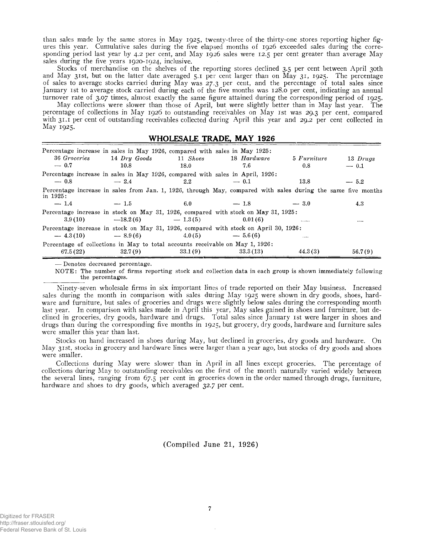than sales made by the same stores in May 1925, twenty-three of the thirty-one stores reporting higher figures this year. Cumulative sales during the five elapsed months of 1926 exceeded sales during the corresponding period last year by 4.2 per cent, and May 1926 sales were 12.5 per cent greater than average May sales during the five years 1920-1924, inclusive.

Stocks of merchandise on the shelves of the reporting stores declined 3.5 per cent between April 30th and May 31st, but on the latter date averaged 5.1 per cent larger than on May 31, 1925. The percentage of sales to average stocks carried during May was 27.3 per cent, and the percentage of total sales since January 1st to average stock carried during each of the five months was 128.0 per cent, indicating an annual turnover rate of 3.07 times, almost exactly the same figure attained during the corresponding period of 1925.

May collections were slower than those of April, but were slightly better than in May last year. The percentage of collections in May 1926 to outstanding receivables on May 1st was 29.3 per cent, compared with 31.1 per cent of outstanding receivables collected during April this year and 29.2 per cent collected in May 1925.

#### **WHOLESALE TRADE, MAY 1926\_\_\_\_\_\_\_\_ \_\_\_\_\_\_\_\_\_\_\_\_\_\_\_\_\_\_\_\_**

| Percentage increase in sales in May 1926, compared with sales in May 1925:<br>36 Groceries<br>$-0.7$                     | $14$ $Dry$ Goods<br>10.8       | 11 Shoes<br>18.0 | 18 Hardware<br>7.6 | 5 Furniture<br>0.8 | 13 Drugs<br>$-0.1$ |
|--------------------------------------------------------------------------------------------------------------------------|--------------------------------|------------------|--------------------|--------------------|--------------------|
| Percentage increase in sales in May 1926, compared with sales in April, 1926:<br>$-0.8$                                  | $-2.4$                         | 2.2              | $-0.1$             | 13.8               | $-5.2$             |
| Percentage increase in sales from Jan. 1, 1926, through May, compared with sales during the same five months<br>in 1925: |                                |                  |                    |                    |                    |
| $-1.4$                                                                                                                   | $-1.5$                         | 6.0              | $-1.8$             | $-3.0$             | 4.3                |
| Percentage increase in stock on May 31, 1926, compared with stock on May 31, 1925:                                       | $3.9(10)$ $-18.2(6)$ $-1.3(5)$ |                  | 0.01(6)            | $- - - + - -$      | $- - - -$          |
| Percentage increase in stock on May 31, 1926, compared with stock on April 30, 1926:                                     |                                |                  |                    |                    |                    |
|                                                                                                                          | $-4.3(10)$ $-8.9(6)$           |                  | $4.0(5)$ $-5.6(6)$ | .                  |                    |
| Percentage of collections in May to total accounts receivable on May 1, 1926:<br>67.5(22)                                | 32.7(9)                        | 33.1(9)          | 33.3 (13)          | 44.3(3)            | 56.7(9)            |

**— Denotes decreased percentage.**

**NOTE: The number of firms reporting stock and collection data in each group is shown immediately following the percentages.**

Ninety-seven wholesale firms in six important lines of trade reported on their May business. Increased sales during the month in comparison with sales during May 1925 were shown in dry goods, shoes, hardware and furniture, but sales of groceries and drugs were slightly below sales during the corresponding month last year. In comparison with sales made in April this year, May sales gained in shoes and furniture, but declined in groceries, dry goods, hardware and drugs. Total sales since January 1st were larger in shoes and drugs than during the corresponding five months in 1925, but grocery, dry goods, hardware and furniture sales were smaller this year than last.

Stocks on hand increased in shoes during May, but declined in groceries, dry goods and hardware. On May 31st, stocks in grocery and hardware lines were larger than a year ago, but stocks of dry goods and shoes were smaller.

Collections during May were slower than in April in all lines except groceries. The percentage of collections during May to outstanding receivables on the first of the month naturally varied widely between the several lines, ranging from 67.5 per cent in groceries down in the order named through drugs, furniture, hardware and shoes to dry goods, which averaged 32.7 per cent.

**(Compiled June 21, 1926)**